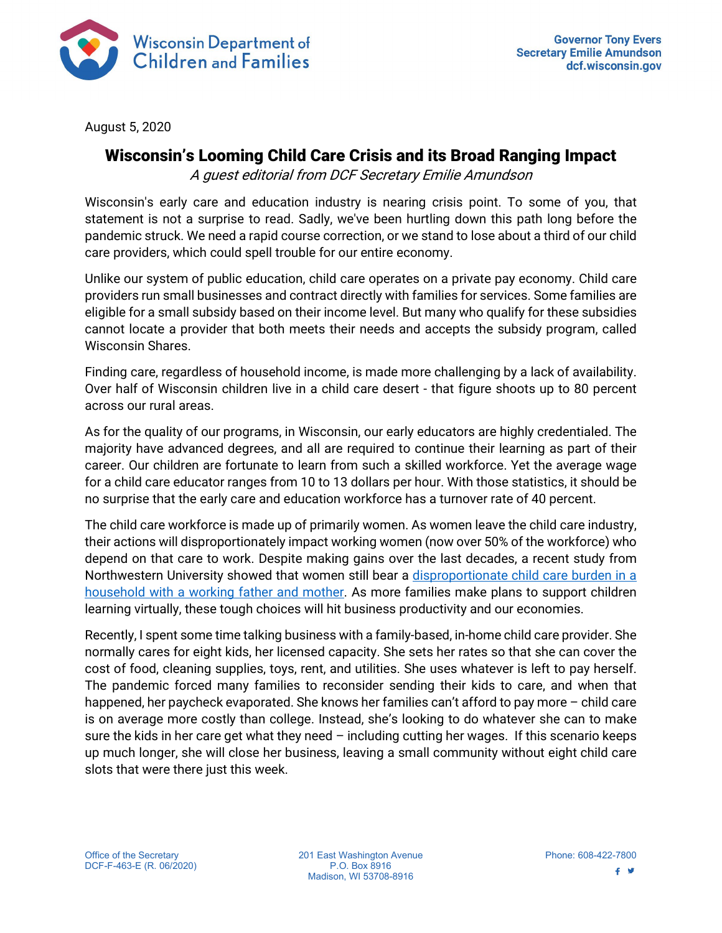

August 5, 2020

## Wisconsin's Looming Child Care Crisis and its Broad Ranging Impact

A guest editorial from DCF Secretary Emilie Amundson

Wisconsin's early care and education industry is nearing crisis point. To some of you, that statement is not a surprise to read. Sadly, we've been hurtling down this path long before the pandemic struck. We need a rapid course correction, or we stand to lose about a third of our child care providers, which could spell trouble for our entire economy.

Unlike our system of public education, child care operates on a private pay economy. Child care providers run small businesses and contract directly with families for services. Some families are eligible for a small subsidy based on their income level. But many who qualify for these subsidies cannot locate a provider that both meets their needs and accepts the subsidy program, called Wisconsin Shares.

Finding care, regardless of household income, is made more challenging by a lack of availability. Over half of Wisconsin children live in a child care desert - that figure shoots up to 80 percent across our rural areas.

As for the quality of our programs, in Wisconsin, our early educators are highly credentialed. The majority have advanced degrees, and all are required to continue their learning as part of their career. Our children are fortunate to learn from such a skilled workforce. Yet the average wage for a child care educator ranges from 10 to 13 dollars per hour. With those statistics, it should be no surprise that the early care and education workforce has a turnover rate of 40 percent.

The child care workforce is made up of primarily women. As women leave the child care industry, their actions will disproportionately impact working women (now over 50% of the workforce) who depend on that care to work. Despite making gains over the last decades, a recent study from Northwestern University showed that women still bear a [disproportionate child](https://faculty.wcas.northwestern.edu/%7Emdo738/research/ADOT_0720.pdf) care burden in a [household with a working father and mother.](https://faculty.wcas.northwestern.edu/%7Emdo738/research/ADOT_0720.pdf) As more families make plans to support children learning virtually, these tough choices will hit business productivity and our economies.

Recently, I spent some time talking business with a family-based, in-home child care provider. She normally cares for eight kids, her licensed capacity. She sets her rates so that she can cover the cost of food, cleaning supplies, toys, rent, and utilities. She uses whatever is left to pay herself. The pandemic forced many families to reconsider sending their kids to care, and when that happened, her paycheck evaporated. She knows her families can't afford to pay more – child care is on average more costly than college. Instead, she's looking to do whatever she can to make sure the kids in her care get what they need  $-$  including cutting her wages. If this scenario keeps up much longer, she will close her business, leaving a small community without eight child care slots that were there just this week.